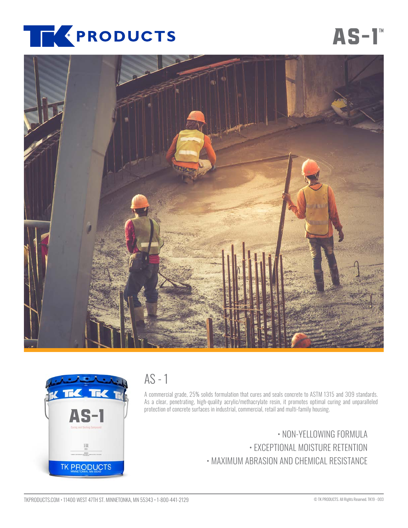

# **[AS-1](https://www.tkproducts.com/product/concrete-cure-seal-as1/)™**





## AS - 1

A commercial grade, 25% solids formulation that cures and seals concrete to ASTM 1315 and 309 standards. As a clear, penetrating, high-quality acrylic/methacrylate resin, it promotes optimal curing and unparalleled protection of concrete surfaces in industrial, commercial, retail and multi-family housing.

> • NON-YELLOWING FORMULA • EXCEPTIONAL MOISTURE RETENTION • MAXIMUM ABRASION AND CHEMICAL RESISTANCE